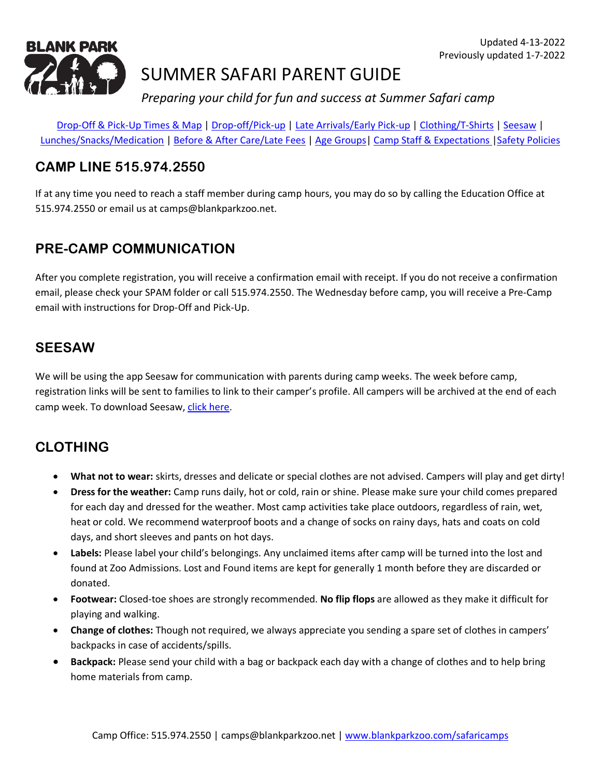

# SUMMER SAFARI PARENT GUIDE

*Preparing your child for fun and success at Summer Safari camp*

[Drop-Off & Pick-Up Times](#page-6-0) & Map | [Drop-off/Pick-up](#page-2-0) | [Late Arrivals/Early Pick-up](#page-2-1) | [Clothing/T-Shirts](#page-0-0) | [Seesaw](#page-0-1) | [Lunches/Snacks/Medication](#page-1-0) | [Before & After Care/Late Fees](#page-3-0) | [Age Groups|](#page-3-1) [Camp Staff & Expectations](#page-4-0) [|Safety Policies](#page-4-1)

### **CAMP LINE 515.974.2550**

If at any time you need to reach a staff member during camp hours, you may do so by calling the Education Office at 515.974.2550 or email us at camps@blankparkzoo.net.

### **PRE-CAMP COMMUNICATION**

After you complete registration, you will receive a confirmation email with receipt. If you do not receive a confirmation email, please check your SPAM folder or call 515.974.2550. The Wednesday before camp, you will receive a Pre-Camp email with instructions for Drop-Off and Pick-Up.

#### <span id="page-0-1"></span>**SEESAW**

We will be using the app Seesaw for communication with parents during camp weeks. The week before camp, registration links will be sent to families to link to their camper's profile. All campers will be archived at the end of each camp week. To download Seesaw, [click here.](https://web.seesaw.me/)

## <span id="page-0-0"></span>**CLOTHING**

- **What not to wear:** skirts, dresses and delicate or special clothes are not advised. Campers will play and get dirty!
- **Dress for the weather:** Camp runs daily, hot or cold, rain or shine. Please make sure your child comes prepared for each day and dressed for the weather. Most camp activities take place outdoors, regardless of rain, wet, heat or cold. We recommend waterproof boots and a change of socks on rainy days, hats and coats on cold days, and short sleeves and pants on hot days.
- **Labels:** Please label your child's belongings. Any unclaimed items after camp will be turned into the lost and found at Zoo Admissions. Lost and Found items are kept for generally 1 month before they are discarded or donated.
- **Footwear:** Closed-toe shoes are strongly recommended. **No flip flops** are allowed as they make it difficult for playing and walking.
- **Change of clothes:** Though not required, we always appreciate you sending a spare set of clothes in campers' backpacks in case of accidents/spills.
- **Backpack:** Please send your child with a bag or backpack each day with a change of clothes and to help bring home materials from camp.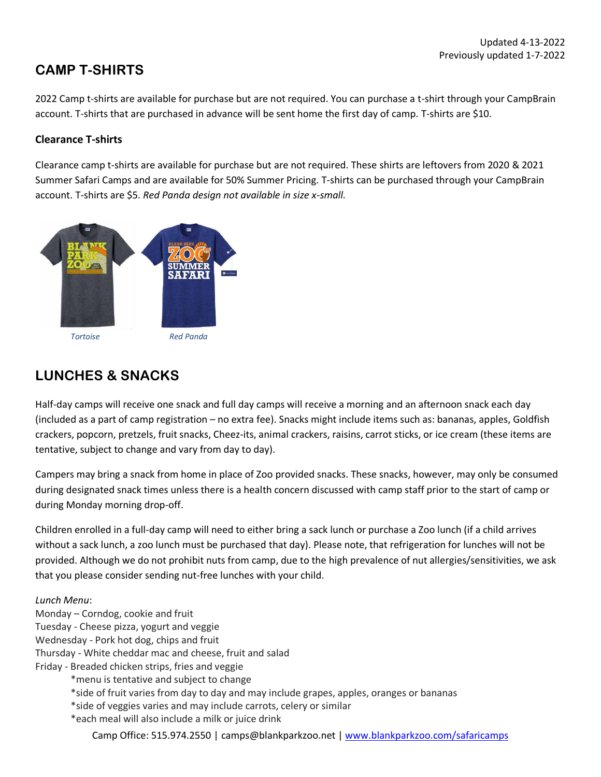## **CAMP T-SHIRTS**

2022 Camp t-shirts are available for purchase but are not required. You can purchase a t-shirt through your CampBrain account. T-shirts that are purchased in advance will be sent home the first day of camp. T-shirts are \$10.

#### **Clearance T-shirts**

Clearance camp t-shirts are available for purchase but are not required. These shirts are leftovers from 2020 & 2021 Summer Safari Camps and are available for 50% Summer Pricing. T-shirts can be purchased through your CampBrain account. T-shirts are \$5. *Red Panda design not available in size x-small.* 



## <span id="page-1-0"></span>**LUNCHES & SNACKS**

Half-day camps will receive one snack and full day camps will receive a morning and an afternoon snack each day (included as a part of camp registration – no extra fee). Snacks might include items such as: bananas, apples, Goldfish crackers, popcorn, pretzels, fruit snacks, Cheez-its, animal crackers, raisins, carrot sticks, or ice cream (these items are tentative, subject to change and vary from day to day).

Campers may bring a snack from home in place of Zoo provided snacks. These snacks, however, may only be consumed during designated snack times unless there is a health concern discussed with camp staff prior to the start of camp or during Monday morning drop-off.

Children enrolled in a full-day camp will need to either bring a sack lunch or purchase a Zoo lunch (if a child arrives without a sack lunch, a zoo lunch must be purchased that day). Please note, that refrigeration for lunches will not be provided. Although we do not prohibit nuts from camp, due to the high prevalence of nut allergies/sensitivities, we ask that you please consider sending nut-free lunches with your child.

#### *Lunch Menu*: Monday – Corndog, cookie and fruit Tuesday - Cheese pizza, yogurt and veggie Wednesday - Pork hot dog, chips and fruit Thursday - White cheddar mac and cheese, fruit and salad Friday - Breaded chicken strips, fries and veggie \*menu is tentative and subject to change \*side of fruit varies from day to day and may include grapes, apples, oranges or bananas \*side of veggies varies and may include carrots, celery or similar \*each meal will also include a milk or juice drink

Camp Office: 515.974.2550 | camps@blankparkzoo.net | [www.blankparkzoo.com/safaricamps](http://www.blankparkzoo.com/safaricamps)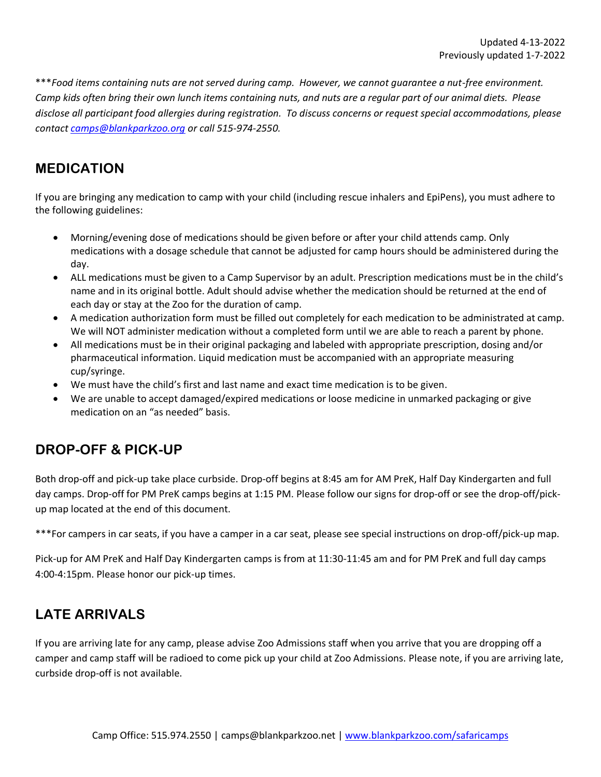\*\*\**Food items containing nuts are not served during camp. However, we cannot guarantee a nut-free environment. Camp kids often bring their own lunch items containing nuts, and nuts are a regular part of our animal diets. Please disclose all participant food allergies during registration. To discuss concerns or request special accommodations, please contact [camps@blankparkzoo.org](mailto:camps@blankparkzoo.org) or call 515-974-2550.*

#### **MEDICATION**

<span id="page-2-0"></span>If you are bringing any medication to camp with your child (including rescue inhalers and EpiPens), you must adhere to the following guidelines:

- Morning/evening dose of medications should be given before or after your child attends camp. Only medications with a dosage schedule that cannot be adjusted for camp hours should be administered during the day.
- ALL medications must be given to a Camp Supervisor by an adult. Prescription medications must be in the child's name and in its original bottle. Adult should advise whether the medication should be returned at the end of each day or stay at the Zoo for the duration of camp.
- A medication authorization form must be filled out completely for each medication to be administrated at camp. We will NOT administer medication without a completed form until we are able to reach a parent by phone.
- All medications must be in their original packaging and labeled with appropriate prescription, dosing and/or pharmaceutical information. Liquid medication must be accompanied with an appropriate measuring cup/syringe.
- We must have the child's first and last name and exact time medication is to be given.
- We are unable to accept damaged/expired medications or loose medicine in unmarked packaging or give medication on an "as needed" basis.

### **DROP-OFF & PICK-UP**

Both drop-off and pick-up take place curbside. Drop-off begins at 8:45 am for AM PreK, Half Day Kindergarten and full day camps. Drop-off for PM PreK camps begins at 1:15 PM. Please follow our signs for drop-off or see the drop-off/pickup map located at the end of this document.

\*\*\*For campers in car seats, if you have a camper in a car seat, please see special instructions on drop-off/pick-up map.

Pick-up for AM PreK and Half Day Kindergarten camps is from at 11:30-11:45 am and for PM PreK and full day camps 4:00-4:15pm. Please honor our pick-up times.

## <span id="page-2-1"></span>**LATE ARRIVALS**

If you are arriving late for any camp, please advise Zoo Admissions staff when you arrive that you are dropping off a camper and camp staff will be radioed to come pick up your child at Zoo Admissions. Please note, if you are arriving late, curbside drop-off is not available.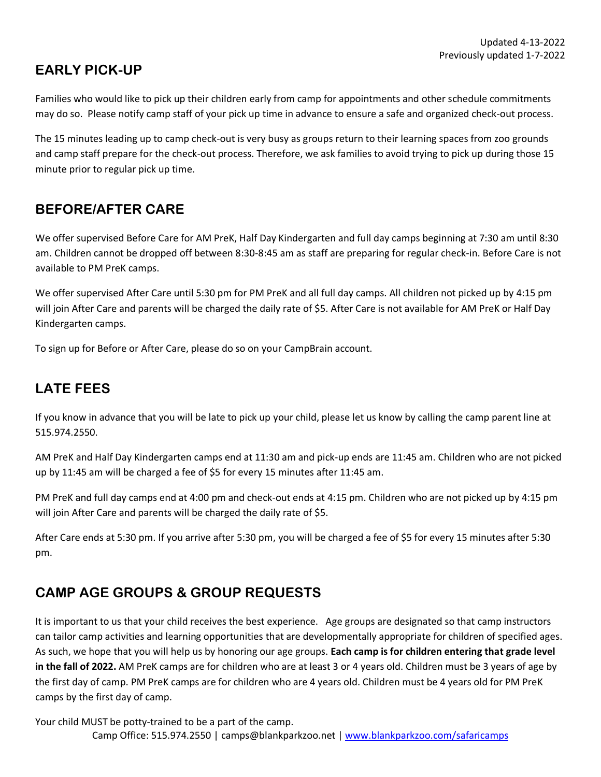## **EARLY PICK-UP**

Families who would like to pick up their children early from camp for appointments and other schedule commitments may do so. Please notify camp staff of your pick up time in advance to ensure a safe and organized check-out process.

The 15 minutes leading up to camp check-out is very busy as groups return to their learning spaces from zoo grounds and camp staff prepare for the check-out process. Therefore, we ask families to avoid trying to pick up during those 15 minute prior to regular pick up time.

### <span id="page-3-0"></span>**BEFORE/AFTER CARE**

We offer supervised Before Care for AM PreK, Half Day Kindergarten and full day camps beginning at 7:30 am until 8:30 am. Children cannot be dropped off between 8:30-8:45 am as staff are preparing for regular check-in. Before Care is not available to PM PreK camps.

We offer supervised After Care until 5:30 pm for PM PreK and all full day camps. All children not picked up by 4:15 pm will join After Care and parents will be charged the daily rate of \$5. After Care is not available for AM PreK or Half Day Kindergarten camps.

To sign up for Before or After Care, please do so on your CampBrain account.

## **LATE FEES**

If you know in advance that you will be late to pick up your child, please let us know by calling the camp parent line at 515.974.2550.

AM PreK and Half Day Kindergarten camps end at 11:30 am and pick-up ends are 11:45 am. Children who are not picked up by 11:45 am will be charged a fee of \$5 for every 15 minutes after 11:45 am.

PM PreK and full day camps end at 4:00 pm and check-out ends at 4:15 pm. Children who are not picked up by 4:15 pm will join After Care and parents will be charged the daily rate of \$5.

After Care ends at 5:30 pm. If you arrive after 5:30 pm, you will be charged a fee of \$5 for every 15 minutes after 5:30 pm.

## <span id="page-3-1"></span>**CAMP AGE GROUPS & GROUP REQUESTS**

It is important to us that your child receives the best experience. Age groups are designated so that camp instructors can tailor camp activities and learning opportunities that are developmentally appropriate for children of specified ages. As such, we hope that you will help us by honoring our age groups. **Each camp is for children entering that grade level in the fall of 2022.** AM PreK camps are for children who are at least 3 or 4 years old. Children must be 3 years of age by the first day of camp. PM PreK camps are for children who are 4 years old. Children must be 4 years old for PM PreK camps by the first day of camp.

Camp Office: 515.974.2550 | camps@blankparkzoo.net | [www.blankparkzoo.com/safaricamps](http://www.blankparkzoo.com/safaricamps) Your child MUST be potty-trained to be a part of the camp.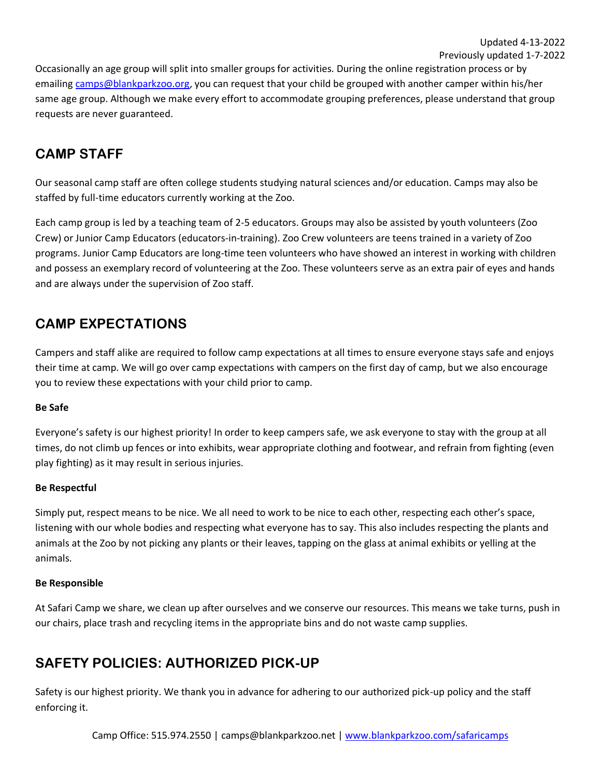#### Previously updated 1-7-2022

Occasionally an age group will split into smaller groups for activities. During the online registration process or by emailin[g camps@blankparkzoo.org,](mailto:camps@blankparkzoo.org) you can request that your child be grouped with another camper within his/her same age group. Although we make every effort to accommodate grouping preferences, please understand that group requests are never guaranteed.

### <span id="page-4-0"></span>**CAMP STAFF**

Our seasonal camp staff are often college students studying natural sciences and/or education. Camps may also be staffed by full-time educators currently working at the Zoo.

Each camp group is led by a teaching team of 2-5 educators. Groups may also be assisted by youth volunteers (Zoo Crew) or Junior Camp Educators (educators-in-training). Zoo Crew volunteers are teens trained in a variety of Zoo programs. Junior Camp Educators are long-time teen volunteers who have showed an interest in working with children and possess an exemplary record of volunteering at the Zoo. These volunteers serve as an extra pair of eyes and hands and are always under the supervision of Zoo staff.

## **CAMP EXPECTATIONS**

Campers and staff alike are required to follow camp expectations at all times to ensure everyone stays safe and enjoys their time at camp. We will go over camp expectations with campers on the first day of camp, but we also encourage you to review these expectations with your child prior to camp.

#### **Be Safe**

Everyone's safety is our highest priority! In order to keep campers safe, we ask everyone to stay with the group at all times, do not climb up fences or into exhibits, wear appropriate clothing and footwear, and refrain from fighting (even play fighting) as it may result in serious injuries.

#### **Be Respectful**

Simply put, respect means to be nice. We all need to work to be nice to each other, respecting each other's space, listening with our whole bodies and respecting what everyone has to say. This also includes respecting the plants and animals at the Zoo by not picking any plants or their leaves, tapping on the glass at animal exhibits or yelling at the animals.

#### **Be Responsible**

At Safari Camp we share, we clean up after ourselves and we conserve our resources. This means we take turns, push in our chairs, place trash and recycling items in the appropriate bins and do not waste camp supplies.

## <span id="page-4-1"></span>**SAFETY POLICIES: AUTHORIZED PICK-UP**

Safety is our highest priority. We thank you in advance for adhering to our authorized pick-up policy and the staff enforcing it.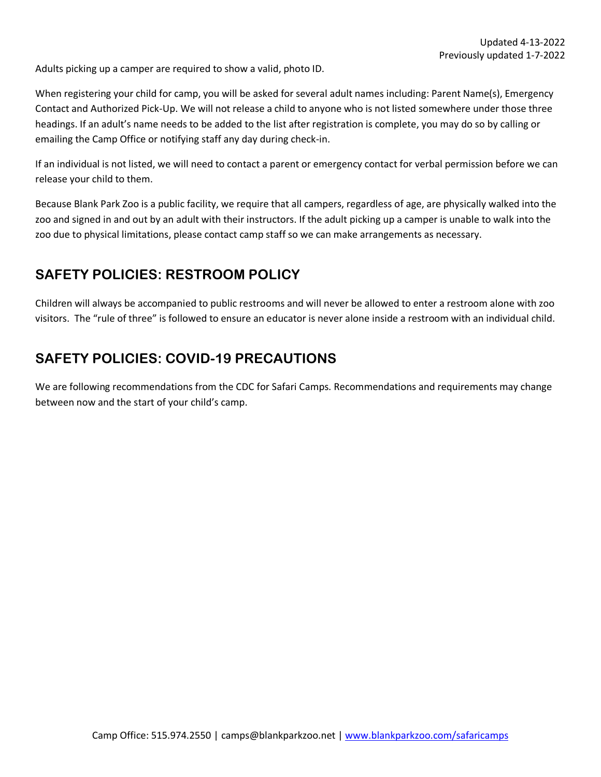Adults picking up a camper are required to show a valid, photo ID.

When registering your child for camp, you will be asked for several adult names including: Parent Name(s), Emergency Contact and Authorized Pick-Up. We will not release a child to anyone who is not listed somewhere under those three headings. If an adult's name needs to be added to the list after registration is complete, you may do so by calling or emailing the Camp Office or notifying staff any day during check-in.

If an individual is not listed, we will need to contact a parent or emergency contact for verbal permission before we can release your child to them.

Because Blank Park Zoo is a public facility, we require that all campers, regardless of age, are physically walked into the zoo and signed in and out by an adult with their instructors. If the adult picking up a camper is unable to walk into the zoo due to physical limitations, please contact camp staff so we can make arrangements as necessary.

### **SAFETY POLICIES: RESTROOM POLICY**

Children will always be accompanied to public restrooms and will never be allowed to enter a restroom alone with zoo visitors. The "rule of three" is followed to ensure an educator is never alone inside a restroom with an individual child.

### **SAFETY POLICIES: COVID-19 PRECAUTIONS**

We are following recommendations from the CDC for Safari Camps. Recommendations and requirements may change between now and the start of your child's camp.